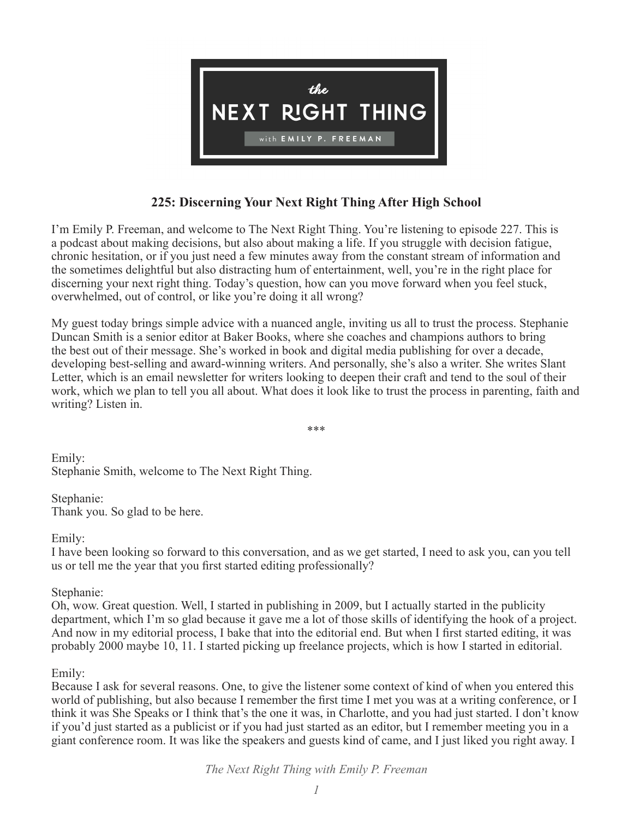

# **225: Discerning Your Next Right Thing After High School**

I'm Emily P. Freeman, and welcome to The Next Right Thing. You're listening to episode 227. This is a podcast about making decisions, but also about making a life. If you struggle with decision fatigue, chronic hesitation, or if you just need a few minutes away from the constant stream of information and the sometimes delightful but also distracting hum of entertainment, well, you're in the right place for discerning your next right thing. Today's question, how can you move forward when you feel stuck, overwhelmed, out of control, or like you're doing it all wrong?

My guest today brings simple advice with a nuanced angle, inviting us all to trust the process. Stephanie Duncan Smith is a senior editor at Baker Books, where she coaches and champions authors to bring the best out of their message. She's worked in book and digital media publishing for over a decade, developing best-selling and award-winning writers. And personally, she's also a writer. She writes Slant Letter, which is an email newsletter for writers looking to deepen their craft and tend to the soul of their work, which we plan to tell you all about. What does it look like to trust the process in parenting, faith and writing? Listen in.

\*\*\*

Stephanie Smith, welcome to The Next Right Thing.

Stephanie: Thank you. So glad to be here.

Emily:

Emily:

I have been looking so forward to this conversation, and as we get started, I need to ask you, can you tell us or tell me the year that you first started editing professionally?

## Stephanie:

Oh, wow. Great question. Well, I started in publishing in 2009, but I actually started in the publicity department, which I'm so glad because it gave me a lot of those skills of identifying the hook of a project. And now in my editorial process, I bake that into the editorial end. But when I first started editing, it was probably 2000 maybe 10, 11. I started picking up freelance projects, which is how I started in editorial.

## Emily:

Because I ask for several reasons. One, to give the listener some context of kind of when you entered this world of publishing, but also because I remember the first time I met you was at a writing conference, or I think it was She Speaks or I think that's the one it was, in Charlotte, and you had just started. I don't know if you'd just started as a publicist or if you had just started as an editor, but I remember meeting you in a giant conference room. It was like the speakers and guests kind of came, and I just liked you right away. I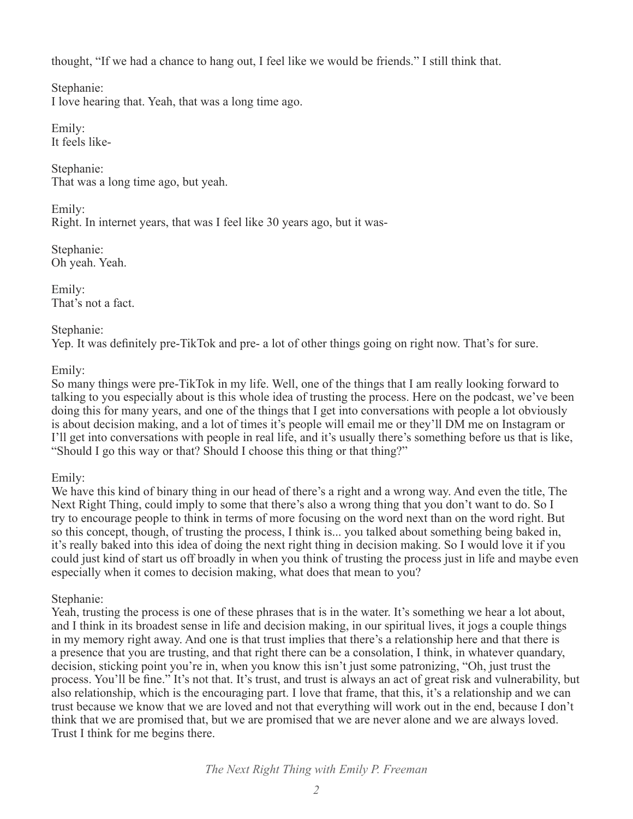thought, "If we had a chance to hang out, I feel like we would be friends." I still think that.

Stephanie:

I love hearing that. Yeah, that was a long time ago.

Emily: It feels like-

Stephanie: That was a long time ago, but yeah.

Emily: Right. In internet years, that was I feel like 30 years ago, but it was-

Stephanie: Oh yeah. Yeah.

Emily: That's not a fact.

Stephanie: Yep. It was definitely pre-TikTok and pre- a lot of other things going on right now. That's for sure.

Emily:

So many things were pre-TikTok in my life. Well, one of the things that I am really looking forward to talking to you especially about is this whole idea of trusting the process. Here on the podcast, we've been doing this for many years, and one of the things that I get into conversations with people a lot obviously is about decision making, and a lot of times it's people will email me or they'll DM me on Instagram or I'll get into conversations with people in real life, and it's usually there's something before us that is like, "Should I go this way or that? Should I choose this thing or that thing?"

Emily:

We have this kind of binary thing in our head of there's a right and a wrong way. And even the title, The Next Right Thing, could imply to some that there's also a wrong thing that you don't want to do. So I try to encourage people to think in terms of more focusing on the word next than on the word right. But so this concept, though, of trusting the process, I think is... you talked about something being baked in, it's really baked into this idea of doing the next right thing in decision making. So I would love it if you could just kind of start us off broadly in when you think of trusting the process just in life and maybe even especially when it comes to decision making, what does that mean to you?

Stephanie:

Yeah, trusting the process is one of these phrases that is in the water. It's something we hear a lot about, and I think in its broadest sense in life and decision making, in our spiritual lives, it jogs a couple things in my memory right away. And one is that trust implies that there's a relationship here and that there is a presence that you are trusting, and that right there can be a consolation, I think, in whatever quandary, decision, sticking point you're in, when you know this isn't just some patronizing, "Oh, just trust the process. You'll be fine." It's not that. It's trust, and trust is always an act of great risk and vulnerability, but also relationship, which is the encouraging part. I love that frame, that this, it's a relationship and we can trust because we know that we are loved and not that everything will work out in the end, because I don't think that we are promised that, but we are promised that we are never alone and we are always loved. Trust I think for me begins there.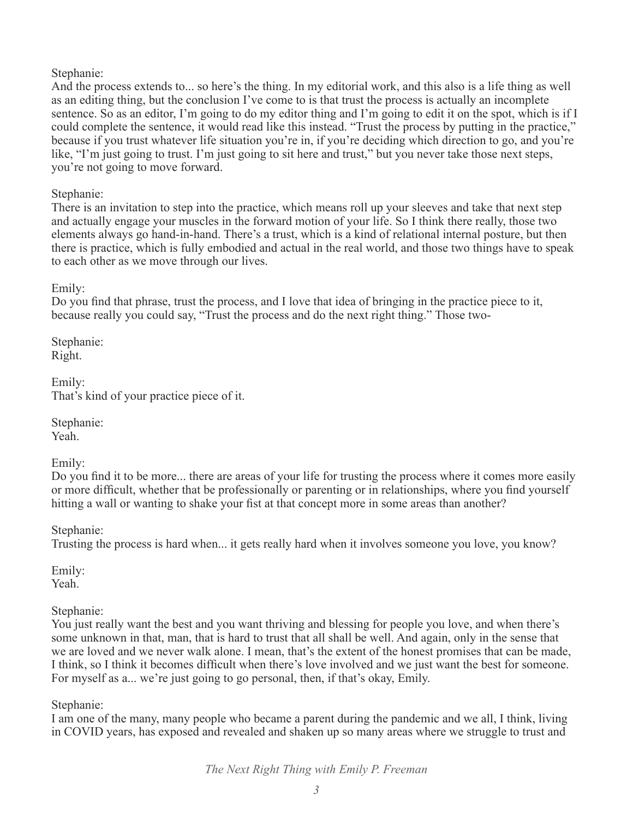Stephanie:

And the process extends to... so here's the thing. In my editorial work, and this also is a life thing as well as an editing thing, but the conclusion I've come to is that trust the process is actually an incomplete sentence. So as an editor, I'm going to do my editor thing and I'm going to edit it on the spot, which is if I could complete the sentence, it would read like this instead. "Trust the process by putting in the practice," because if you trust whatever life situation you're in, if you're deciding which direction to go, and you're like, "I'm just going to trust. I'm just going to sit here and trust," but you never take those next steps, you're not going to move forward.

Stephanie:

There is an invitation to step into the practice, which means roll up your sleeves and take that next step and actually engage your muscles in the forward motion of your life. So I think there really, those two elements always go hand-in-hand. There's a trust, which is a kind of relational internal posture, but then there is practice, which is fully embodied and actual in the real world, and those two things have to speak to each other as we move through our lives.

Emily:

Do you find that phrase, trust the process, and I love that idea of bringing in the practice piece to it, because really you could say, "Trust the process and do the next right thing." Those two-

Stephanie: Right.

Emily: That's kind of your practice piece of it.

Stephanie: Yeah.

Emily:

Do you find it to be more... there are areas of your life for trusting the process where it comes more easily or more difficult, whether that be professionally or parenting or in relationships, where you find yourself hitting a wall or wanting to shake your fist at that concept more in some areas than another?

Stephanie:

Trusting the process is hard when... it gets really hard when it involves someone you love, you know?

Emily: Yeah.

Stephanie:

You just really want the best and you want thriving and blessing for people you love, and when there's some unknown in that, man, that is hard to trust that all shall be well. And again, only in the sense that we are loved and we never walk alone. I mean, that's the extent of the honest promises that can be made, I think, so I think it becomes difficult when there's love involved and we just want the best for someone. For myself as a... we're just going to go personal, then, if that's okay, Emily.

Stephanie:

I am one of the many, many people who became a parent during the pandemic and we all, I think, living in COVID years, has exposed and revealed and shaken up so many areas where we struggle to trust and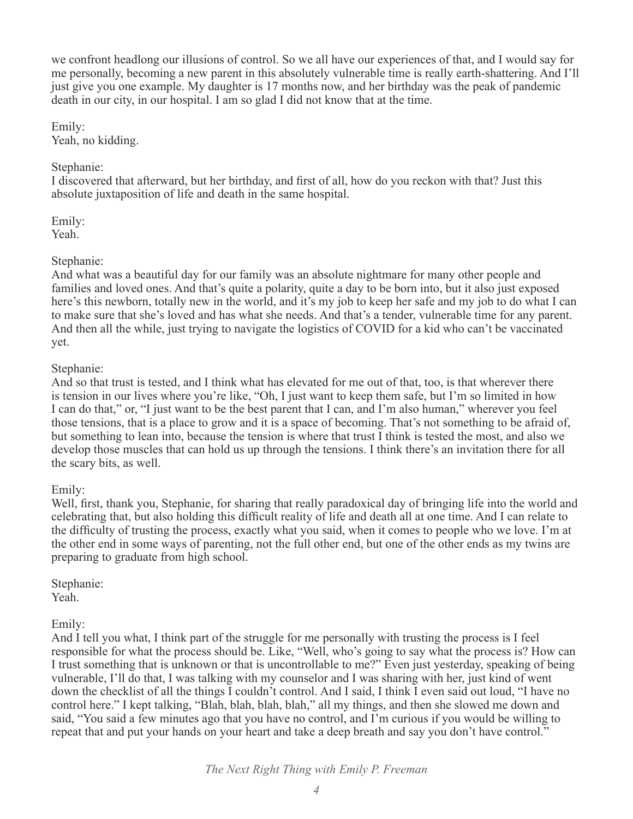we confront headlong our illusions of control. So we all have our experiences of that, and I would say for me personally, becoming a new parent in this absolutely vulnerable time is really earth-shattering. And I'll just give you one example. My daughter is 17 months now, and her birthday was the peak of pandemic death in our city, in our hospital. I am so glad I did not know that at the time.

Emily: Yeah, no kidding.

#### Stephanie:

I discovered that afterward, but her birthday, and first of all, how do you reckon with that? Just this absolute juxtaposition of life and death in the same hospital.

Emily: Yeah.

#### Stephanie:

And what was a beautiful day for our family was an absolute nightmare for many other people and families and loved ones. And that's quite a polarity, quite a day to be born into, but it also just exposed here's this newborn, totally new in the world, and it's my job to keep her safe and my job to do what I can to make sure that she's loved and has what she needs. And that's a tender, vulnerable time for any parent. And then all the while, just trying to navigate the logistics of COVID for a kid who can't be vaccinated yet.

#### Stephanie:

And so that trust is tested, and I think what has elevated for me out of that, too, is that wherever there is tension in our lives where you're like, "Oh, I just want to keep them safe, but I'm so limited in how I can do that," or, "I just want to be the best parent that I can, and I'm also human," wherever you feel those tensions, that is a place to grow and it is a space of becoming. That's not something to be afraid of, but something to lean into, because the tension is where that trust I think is tested the most, and also we develop those muscles that can hold us up through the tensions. I think there's an invitation there for all the scary bits, as well.

## Emily:

Well, first, thank you, Stephanie, for sharing that really paradoxical day of bringing life into the world and celebrating that, but also holding this difficult reality of life and death all at one time. And I can relate to the difficulty of trusting the process, exactly what you said, when it comes to people who we love. I'm at the other end in some ways of parenting, not the full other end, but one of the other ends as my twins are preparing to graduate from high school.

Stephanie:

Yeah.

## Emily:

And I tell you what, I think part of the struggle for me personally with trusting the process is I feel responsible for what the process should be. Like, "Well, who's going to say what the process is? How can I trust something that is unknown or that is uncontrollable to me?" Even just yesterday, speaking of being vulnerable, I'll do that, I was talking with my counselor and I was sharing with her, just kind of went down the checklist of all the things I couldn't control. And I said, I think I even said out loud, "I have no control here." I kept talking, "Blah, blah, blah, blah," all my things, and then she slowed me down and said, "You said a few minutes ago that you have no control, and I'm curious if you would be willing to repeat that and put your hands on your heart and take a deep breath and say you don't have control."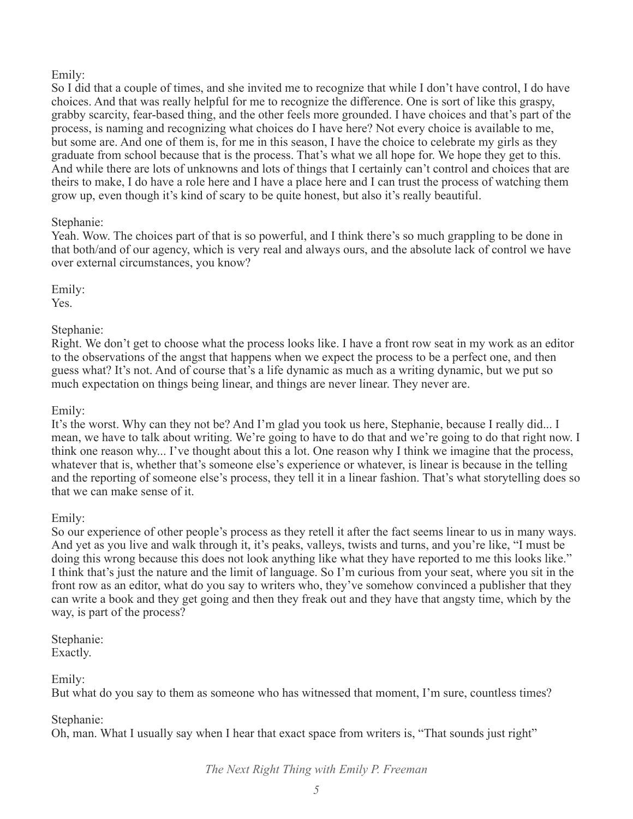## Emily:

So I did that a couple of times, and she invited me to recognize that while I don't have control, I do have choices. And that was really helpful for me to recognize the difference. One is sort of like this graspy, grabby scarcity, fear-based thing, and the other feels more grounded. I have choices and that's part of the process, is naming and recognizing what choices do I have here? Not every choice is available to me, but some are. And one of them is, for me in this season, I have the choice to celebrate my girls as they graduate from school because that is the process. That's what we all hope for. We hope they get to this. And while there are lots of unknowns and lots of things that I certainly can't control and choices that are theirs to make, I do have a role here and I have a place here and I can trust the process of watching them grow up, even though it's kind of scary to be quite honest, but also it's really beautiful.

## Stephanie:

Yeah. Wow. The choices part of that is so powerful, and I think there's so much grappling to be done in that both/and of our agency, which is very real and always ours, and the absolute lack of control we have over external circumstances, you know?

Emily:

Yes.

Stephanie:

Right. We don't get to choose what the process looks like. I have a front row seat in my work as an editor to the observations of the angst that happens when we expect the process to be a perfect one, and then guess what? It's not. And of course that's a life dynamic as much as a writing dynamic, but we put so much expectation on things being linear, and things are never linear. They never are.

## Emily:

It's the worst. Why can they not be? And I'm glad you took us here, Stephanie, because I really did... I mean, we have to talk about writing. We're going to have to do that and we're going to do that right now. I think one reason why... I've thought about this a lot. One reason why I think we imagine that the process, whatever that is, whether that's someone else's experience or whatever, is linear is because in the telling and the reporting of someone else's process, they tell it in a linear fashion. That's what storytelling does so that we can make sense of it.

## Emily:

So our experience of other people's process as they retell it after the fact seems linear to us in many ways. And yet as you live and walk through it, it's peaks, valleys, twists and turns, and you're like, "I must be doing this wrong because this does not look anything like what they have reported to me this looks like." I think that's just the nature and the limit of language. So I'm curious from your seat, where you sit in the front row as an editor, what do you say to writers who, they've somehow convinced a publisher that they can write a book and they get going and then they freak out and they have that angsty time, which by the way, is part of the process?

Stephanie: Exactly.

Emily:

But what do you say to them as someone who has witnessed that moment, I'm sure, countless times?

## Stephanie:

Oh, man. What I usually say when I hear that exact space from writers is, "That sounds just right"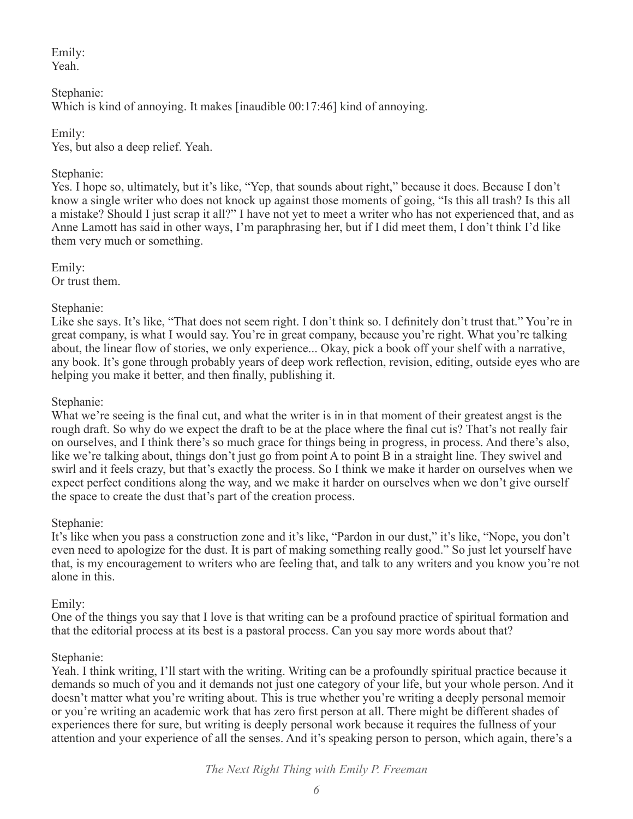Emily: Yeah.

Stephanie: Which is kind of annoying. It makes [inaudible 00:17:46] kind of annoying.

Emily: Yes, but also a deep relief. Yeah.

# Stephanie:

Yes. I hope so, ultimately, but it's like, "Yep, that sounds about right," because it does. Because I don't know a single writer who does not knock up against those moments of going, "Is this all trash? Is this all a mistake? Should I just scrap it all?" I have not yet to meet a writer who has not experienced that, and as Anne Lamott has said in other ways, I'm paraphrasing her, but if I did meet them, I don't think I'd like them very much or something.

Emily: Or trust them.

# Stephanie:

Like she says. It's like, "That does not seem right. I don't think so. I definitely don't trust that." You're in great company, is what I would say. You're in great company, because you're right. What you're talking about, the linear flow of stories, we only experience... Okay, pick a book off your shelf with a narrative, any book. It's gone through probably years of deep work reflection, revision, editing, outside eyes who are helping you make it better, and then finally, publishing it.

## Stephanie:

What we're seeing is the final cut, and what the writer is in in that moment of their greatest angst is the rough draft. So why do we expect the draft to be at the place where the final cut is? That's not really fair on ourselves, and I think there's so much grace for things being in progress, in process. And there's also, like we're talking about, things don't just go from point A to point B in a straight line. They swivel and swirl and it feels crazy, but that's exactly the process. So I think we make it harder on ourselves when we expect perfect conditions along the way, and we make it harder on ourselves when we don't give ourself the space to create the dust that's part of the creation process.

## Stephanie:

It's like when you pass a construction zone and it's like, "Pardon in our dust," it's like, "Nope, you don't even need to apologize for the dust. It is part of making something really good." So just let yourself have that, is my encouragement to writers who are feeling that, and talk to any writers and you know you're not alone in this.

## Emily:

One of the things you say that I love is that writing can be a profound practice of spiritual formation and that the editorial process at its best is a pastoral process. Can you say more words about that?

## Stephanie:

Yeah. I think writing, I'll start with the writing. Writing can be a profoundly spiritual practice because it demands so much of you and it demands not just one category of your life, but your whole person. And it doesn't matter what you're writing about. This is true whether you're writing a deeply personal memoir or you're writing an academic work that has zero first person at all. There might be different shades of experiences there for sure, but writing is deeply personal work because it requires the fullness of your attention and your experience of all the senses. And it's speaking person to person, which again, there's a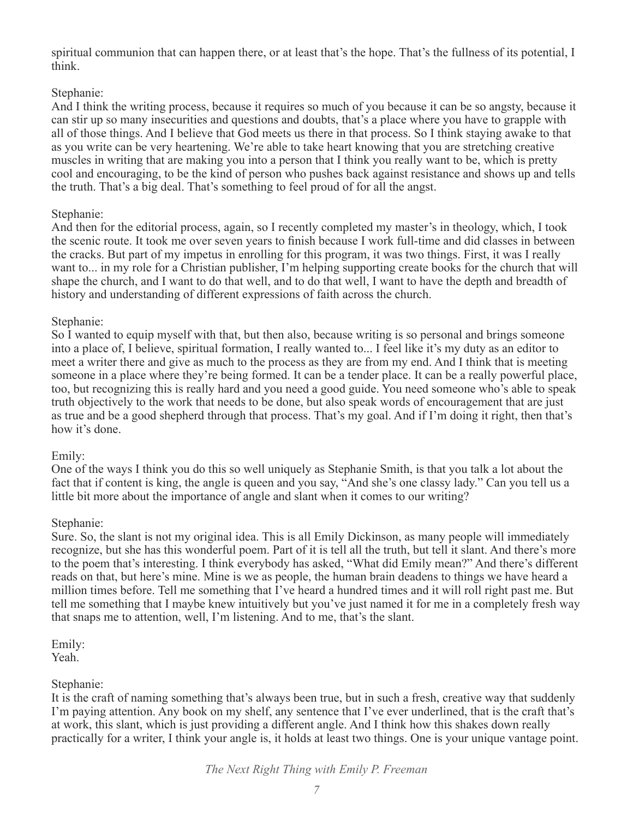spiritual communion that can happen there, or at least that's the hope. That's the fullness of its potential, I think.

## Stephanie:

And I think the writing process, because it requires so much of you because it can be so angsty, because it can stir up so many insecurities and questions and doubts, that's a place where you have to grapple with all of those things. And I believe that God meets us there in that process. So I think staying awake to that as you write can be very heartening. We're able to take heart knowing that you are stretching creative muscles in writing that are making you into a person that I think you really want to be, which is pretty cool and encouraging, to be the kind of person who pushes back against resistance and shows up and tells the truth. That's a big deal. That's something to feel proud of for all the angst.

## Stephanie:

And then for the editorial process, again, so I recently completed my master's in theology, which, I took the scenic route. It took me over seven years to finish because I work full-time and did classes in between the cracks. But part of my impetus in enrolling for this program, it was two things. First, it was I really want to... in my role for a Christian publisher, I'm helping supporting create books for the church that will shape the church, and I want to do that well, and to do that well, I want to have the depth and breadth of history and understanding of different expressions of faith across the church.

# Stephanie:

So I wanted to equip myself with that, but then also, because writing is so personal and brings someone into a place of, I believe, spiritual formation, I really wanted to... I feel like it's my duty as an editor to meet a writer there and give as much to the process as they are from my end. And I think that is meeting someone in a place where they're being formed. It can be a tender place. It can be a really powerful place, too, but recognizing this is really hard and you need a good guide. You need someone who's able to speak truth objectively to the work that needs to be done, but also speak words of encouragement that are just as true and be a good shepherd through that process. That's my goal. And if I'm doing it right, then that's how it's done.

## Emily:

One of the ways I think you do this so well uniquely as Stephanie Smith, is that you talk a lot about the fact that if content is king, the angle is queen and you say, "And she's one classy lady." Can you tell us a little bit more about the importance of angle and slant when it comes to our writing?

## Stephanie:

Sure. So, the slant is not my original idea. This is all Emily Dickinson, as many people will immediately recognize, but she has this wonderful poem. Part of it is tell all the truth, but tell it slant. And there's more to the poem that's interesting. I think everybody has asked, "What did Emily mean?" And there's different reads on that, but here's mine. Mine is we as people, the human brain deadens to things we have heard a million times before. Tell me something that I've heard a hundred times and it will roll right past me. But tell me something that I maybe knew intuitively but you've just named it for me in a completely fresh way that snaps me to attention, well, I'm listening. And to me, that's the slant.

Emily: Yeah.

## Stephanie:

It is the craft of naming something that's always been true, but in such a fresh, creative way that suddenly I'm paying attention. Any book on my shelf, any sentence that I've ever underlined, that is the craft that's at work, this slant, which is just providing a different angle. And I think how this shakes down really practically for a writer, I think your angle is, it holds at least two things. One is your unique vantage point.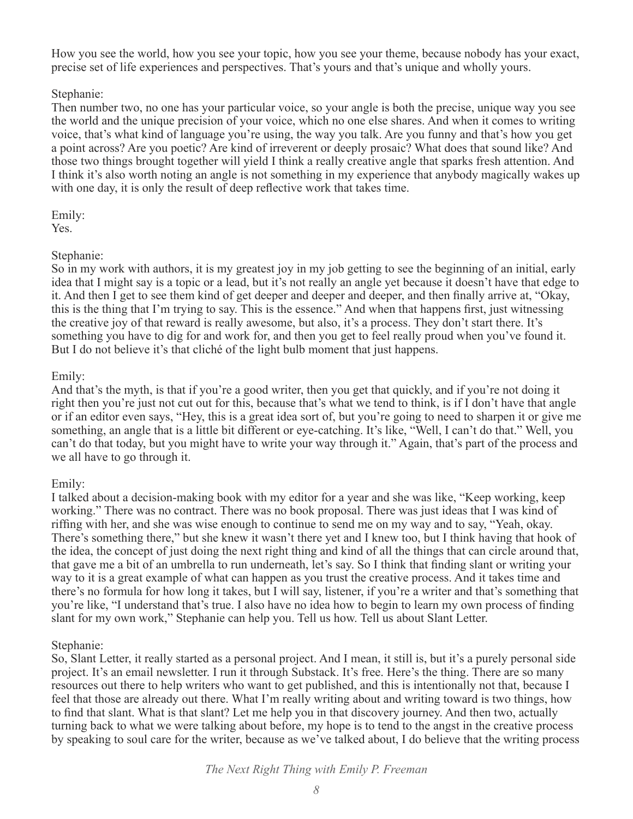How you see the world, how you see your topic, how you see your theme, because nobody has your exact, precise set of life experiences and perspectives. That's yours and that's unique and wholly yours.

## Stephanie:

Then number two, no one has your particular voice, so your angle is both the precise, unique way you see the world and the unique precision of your voice, which no one else shares. And when it comes to writing voice, that's what kind of language you're using, the way you talk. Are you funny and that's how you get a point across? Are you poetic? Are kind of irreverent or deeply prosaic? What does that sound like? And those two things brought together will yield I think a really creative angle that sparks fresh attention. And I think it's also worth noting an angle is not something in my experience that anybody magically wakes up with one day, it is only the result of deep reflective work that takes time.

# Emily:

Yes.

# Stephanie:

So in my work with authors, it is my greatest joy in my job getting to see the beginning of an initial, early idea that I might say is a topic or a lead, but it's not really an angle yet because it doesn't have that edge to it. And then I get to see them kind of get deeper and deeper and deeper, and then finally arrive at, "Okay, this is the thing that I'm trying to say. This is the essence." And when that happens first, just witnessing the creative joy of that reward is really awesome, but also, it's a process. They don't start there. It's something you have to dig for and work for, and then you get to feel really proud when you've found it. But I do not believe it's that cliché of the light bulb moment that just happens.

# Emily:

And that's the myth, is that if you're a good writer, then you get that quickly, and if you're not doing it right then you're just not cut out for this, because that's what we tend to think, is if I don't have that angle or if an editor even says, "Hey, this is a great idea sort of, but you're going to need to sharpen it or give me something, an angle that is a little bit different or eye-catching. It's like, "Well, I can't do that." Well, you can't do that today, but you might have to write your way through it." Again, that's part of the process and we all have to go through it.

# Emily:

I talked about a decision-making book with my editor for a year and she was like, "Keep working, keep working." There was no contract. There was no book proposal. There was just ideas that I was kind of riffing with her, and she was wise enough to continue to send me on my way and to say, "Yeah, okay. There's something there," but she knew it wasn't there yet and I knew too, but I think having that hook of the idea, the concept of just doing the next right thing and kind of all the things that can circle around that, that gave me a bit of an umbrella to run underneath, let's say. So I think that finding slant or writing your way to it is a great example of what can happen as you trust the creative process. And it takes time and there's no formula for how long it takes, but I will say, listener, if you're a writer and that's something that you're like, "I understand that's true. I also have no idea how to begin to learn my own process of finding slant for my own work," Stephanie can help you. Tell us how. Tell us about Slant Letter.

## Stephanie:

So, Slant Letter, it really started as a personal project. And I mean, it still is, but it's a purely personal side project. It's an email newsletter. I run it through Substack. It's free. Here's the thing. There are so many resources out there to help writers who want to get published, and this is intentionally not that, because I feel that those are already out there. What I'm really writing about and writing toward is two things, how to find that slant. What is that slant? Let me help you in that discovery journey. And then two, actually turning back to what we were talking about before, my hope is to tend to the angst in the creative process by speaking to soul care for the writer, because as we've talked about, I do believe that the writing process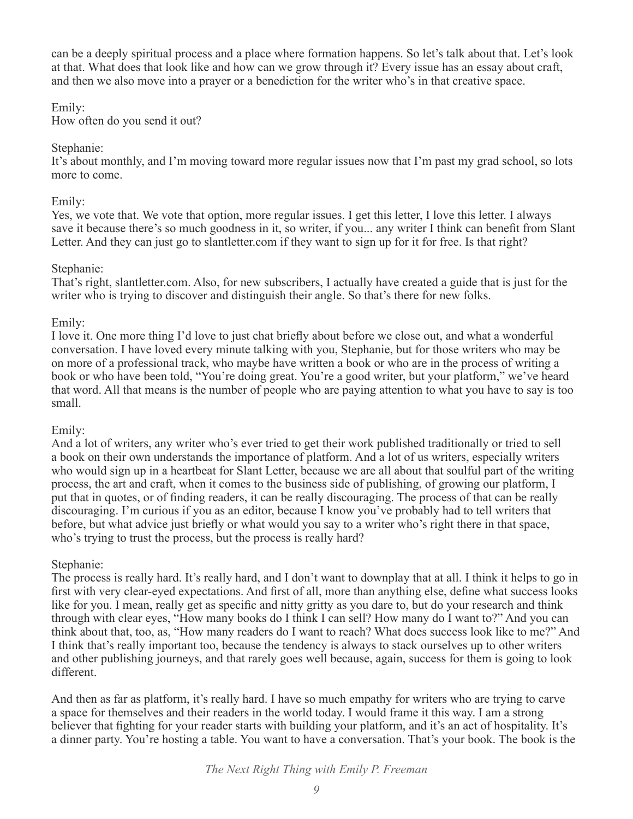can be a deeply spiritual process and a place where formation happens. So let's talk about that. Let's look at that. What does that look like and how can we grow through it? Every issue has an essay about craft, and then we also move into a prayer or a benediction for the writer who's in that creative space.

#### Emily:

How often do you send it out?

#### Stephanie:

It's about monthly, and I'm moving toward more regular issues now that I'm past my grad school, so lots more to come.

#### Emily:

Yes, we vote that. We vote that option, more regular issues. I get this letter, I love this letter. I always save it because there's so much goodness in it, so writer, if you... any writer I think can benefit from Slant Letter. And they can just go to slantletter.com if they want to sign up for it for free. Is that right?

#### Stephanie:

That's right, slantletter.com. Also, for new subscribers, I actually have created a guide that is just for the writer who is trying to discover and distinguish their angle. So that's there for new folks.

## Emily:

I love it. One more thing I'd love to just chat briefly about before we close out, and what a wonderful conversation. I have loved every minute talking with you, Stephanie, but for those writers who may be on more of a professional track, who maybe have written a book or who are in the process of writing a book or who have been told, "You're doing great. You're a good writer, but your platform," we've heard that word. All that means is the number of people who are paying attention to what you have to say is too small.

## Emily:

And a lot of writers, any writer who's ever tried to get their work published traditionally or tried to sell a book on their own understands the importance of platform. And a lot of us writers, especially writers who would sign up in a heartbeat for Slant Letter, because we are all about that soulful part of the writing process, the art and craft, when it comes to the business side of publishing, of growing our platform, I put that in quotes, or of finding readers, it can be really discouraging. The process of that can be really discouraging. I'm curious if you as an editor, because I know you've probably had to tell writers that before, but what advice just briefly or what would you say to a writer who's right there in that space, who's trying to trust the process, but the process is really hard?

## Stephanie:

The process is really hard. It's really hard, and I don't want to downplay that at all. I think it helps to go in first with very clear-eyed expectations. And first of all, more than anything else, define what success looks like for you. I mean, really get as specific and nitty gritty as you dare to, but do your research and think through with clear eyes, "How many books do I think I can sell? How many do I want to?" And you can think about that, too, as, "How many readers do I want to reach? What does success look like to me?" And I think that's really important too, because the tendency is always to stack ourselves up to other writers and other publishing journeys, and that rarely goes well because, again, success for them is going to look different.

And then as far as platform, it's really hard. I have so much empathy for writers who are trying to carve a space for themselves and their readers in the world today. I would frame it this way. I am a strong believer that fighting for your reader starts with building your platform, and it's an act of hospitality. It's a dinner party. You're hosting a table. You want to have a conversation. That's your book. The book is the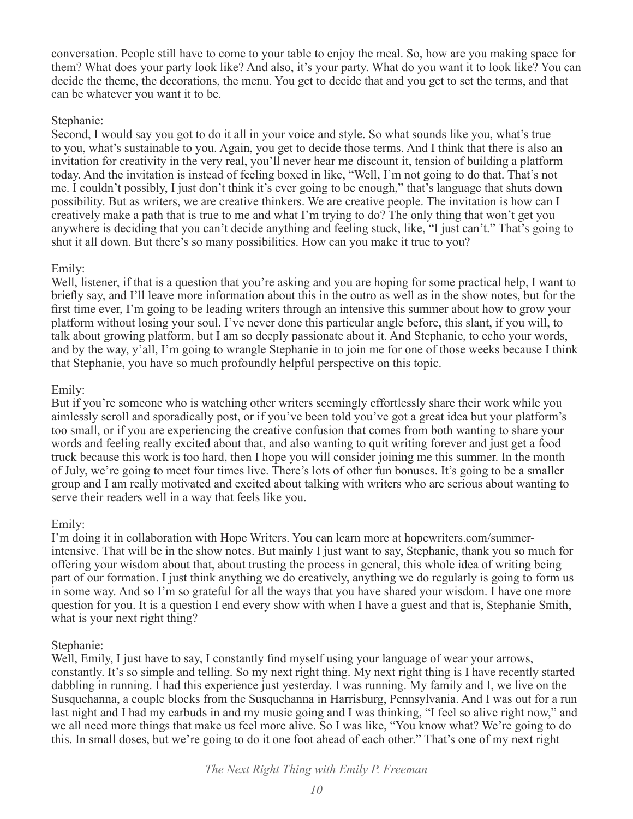conversation. People still have to come to your table to enjoy the meal. So, how are you making space for them? What does your party look like? And also, it's your party. What do you want it to look like? You can decide the theme, the decorations, the menu. You get to decide that and you get to set the terms, and that can be whatever you want it to be.

#### Stephanie:

Second, I would say you got to do it all in your voice and style. So what sounds like you, what's true to you, what's sustainable to you. Again, you get to decide those terms. And I think that there is also an invitation for creativity in the very real, you'll never hear me discount it, tension of building a platform today. And the invitation is instead of feeling boxed in like, "Well, I'm not going to do that. That's not me. I couldn't possibly, I just don't think it's ever going to be enough," that's language that shuts down possibility. But as writers, we are creative thinkers. We are creative people. The invitation is how can I creatively make a path that is true to me and what I'm trying to do? The only thing that won't get you anywhere is deciding that you can't decide anything and feeling stuck, like, "I just can't." That's going to shut it all down. But there's so many possibilities. How can you make it true to you?

#### Emily:

Well, listener, if that is a question that you're asking and you are hoping for some practical help, I want to briefly say, and I'll leave more information about this in the outro as well as in the show notes, but for the first time ever, I'm going to be leading writers through an intensive this summer about how to grow your platform without losing your soul. I've never done this particular angle before, this slant, if you will, to talk about growing platform, but I am so deeply passionate about it. And Stephanie, to echo your words, and by the way, y'all, I'm going to wrangle Stephanie in to join me for one of those weeks because I think that Stephanie, you have so much profoundly helpful perspective on this topic.

## Emily:

But if you're someone who is watching other writers seemingly effortlessly share their work while you aimlessly scroll and sporadically post, or if you've been told you've got a great idea but your platform's too small, or if you are experiencing the creative confusion that comes from both wanting to share your words and feeling really excited about that, and also wanting to quit writing forever and just get a food truck because this work is too hard, then I hope you will consider joining me this summer. In the month of July, we're going to meet four times live. There's lots of other fun bonuses. It's going to be a smaller group and I am really motivated and excited about talking with writers who are serious about wanting to serve their readers well in a way that feels like you.

#### Emily:

I'm doing it in collaboration with Hope Writers. You can learn more at hopewriters.com/summerintensive. That will be in the show notes. But mainly I just want to say, Stephanie, thank you so much for offering your wisdom about that, about trusting the process in general, this whole idea of writing being part of our formation. I just think anything we do creatively, anything we do regularly is going to form us in some way. And so I'm so grateful for all the ways that you have shared your wisdom. I have one more question for you. It is a question I end every show with when I have a guest and that is, Stephanie Smith, what is your next right thing?

#### Stephanie:

Well, Emily, I just have to say, I constantly find myself using your language of wear your arrows, constantly. It's so simple and telling. So my next right thing. My next right thing is I have recently started dabbling in running. I had this experience just yesterday. I was running. My family and I, we live on the Susquehanna, a couple blocks from the Susquehanna in Harrisburg, Pennsylvania. And I was out for a run last night and I had my earbuds in and my music going and I was thinking, "I feel so alive right now," and we all need more things that make us feel more alive. So I was like, "You know what? We're going to do this. In small doses, but we're going to do it one foot ahead of each other." That's one of my next right